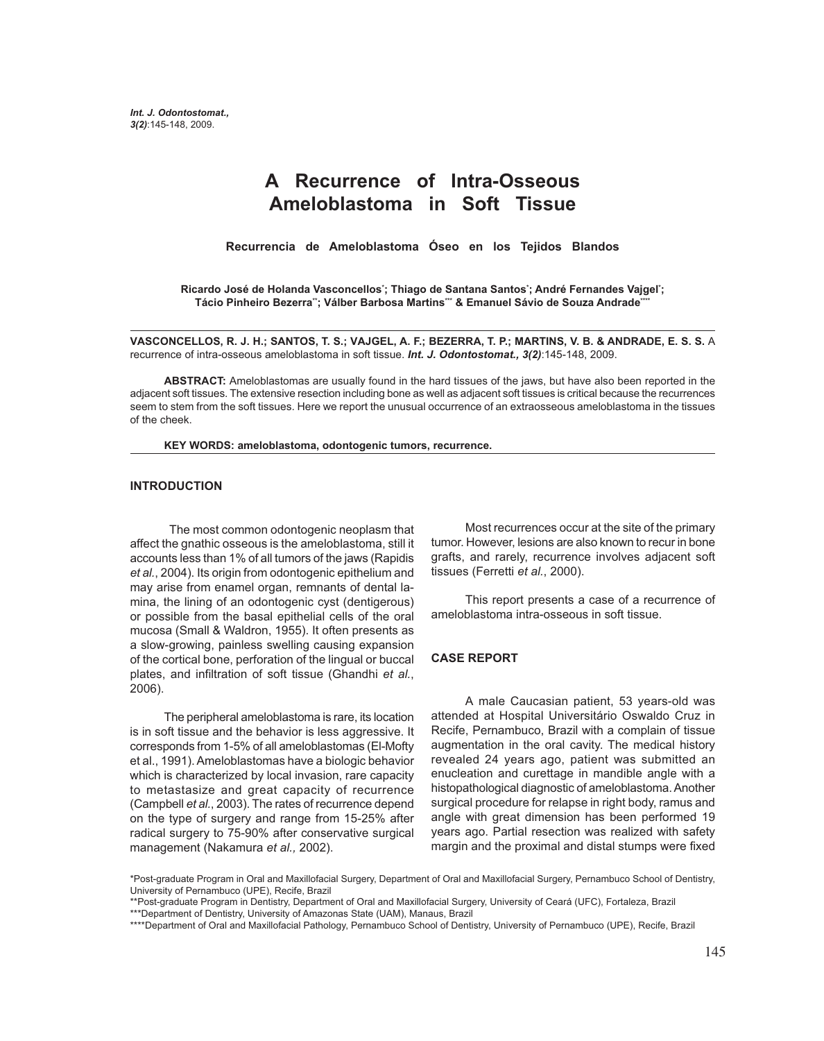# **A Recurrence of Intra-Osseous Ameloblastoma in Soft Tissue**

**Recurrencia de Ameloblastoma Óseo en los Tejidos Blandos**

**Ricardo José de Holanda Vasconcellos\* ; Thiago de Santana Santos\* ; André Fernandes Vajgel\* ;** Tácio Pinheiro Bezerra<sup>\*</sup>; Válber Barbosa Martins\*\* & Emanuel Sávio de Souza Andrade\*\*\*

**VASCONCELLOS, R. J. H.; SANTOS, T. S.; VAJGEL, A. F.; BEZERRA, T. P.; MARTINS, V. B. & ANDRADE, E. S. S.** A recurrence of intra-osseous ameloblastoma in soft tissue. *Int. J. Odontostomat., 3(2)*:145-148, 2009.

**ABSTRACT:** Ameloblastomas are usually found in the hard tissues of the jaws, but have also been reported in the adjacent soft tissues. The extensive resection including bone as well as adjacent soft tissues is critical because the recurrences seem to stem from the soft tissues. Here we report the unusual occurrence of an extraosseous ameloblastoma in the tissues of the cheek.

**KEY WORDS: ameloblastoma, odontogenic tumors, recurrence.**

#### **INTRODUCTION**

 The most common odontogenic neoplasm that affect the gnathic osseous is the ameloblastoma, still it accounts less than 1% of all tumors of the jaws (Rapidis *et al.*, 2004). Its origin from odontogenic epithelium and may arise from enamel organ, remnants of dental lamina, the lining of an odontogenic cyst (dentigerous) or possible from the basal epithelial cells of the oral mucosa (Small & Waldron, 1955). It often presents as a slow-growing, painless swelling causing expansion of the cortical bone, perforation of the lingual or buccal plates, and infiltration of soft tissue (Ghandhi *et al.*, 2006).

The peripheral ameloblastoma is rare, its location is in soft tissue and the behavior is less aggressive. It corresponds from 1-5% of all ameloblastomas (El-Mofty et al., 1991). Ameloblastomas have a biologic behavior which is characterized by local invasion, rare capacity to metastasize and great capacity of recurrence (Campbell *et al.*, 2003). The rates of recurrence depend on the type of surgery and range from 15-25% after radical surgery to 75-90% after conservative surgical management (Nakamura *et al.,* 2002).

Most recurrences occur at the site of the primary tumor. However, lesions are also known to recur in bone grafts, and rarely, recurrence involves adjacent soft tissues (Ferretti *et al.*, 2000).

This report presents a case of a recurrence of ameloblastoma intra-osseous in soft tissue.

#### **CASE REPORT**

A male Caucasian patient, 53 years-old was attended at Hospital Universitário Oswaldo Cruz in Recife, Pernambuco, Brazil with a complain of tissue augmentation in the oral cavity. The medical history revealed 24 years ago, patient was submitted an enucleation and curettage in mandible angle with a histopathological diagnostic of ameloblastoma. Another surgical procedure for relapse in right body, ramus and angle with great dimension has been performed 19 years ago. Partial resection was realized with safety margin and the proximal and distal stumps were fixed

<sup>\*</sup>Post-graduate Program in Oral and Maxillofacial Surgery, Department of Oral and Maxillofacial Surgery, Pernambuco School of Dentistry, University of Pernambuco (UPE), Recife, Brazil

<sup>\*\*</sup>Post-graduate Program in Dentistry, Department of Oral and Maxillofacial Surgery, University of Ceará (UFC), Fortaleza, Brazil \*\*\*Department of Dentistry, University of Amazonas State (UAM), Manaus, Brazil

<sup>\*\*\*\*</sup>Department of Oral and Maxillofacial Pathology, Pernambuco School of Dentistry, University of Pernambuco (UPE), Recife, Brazil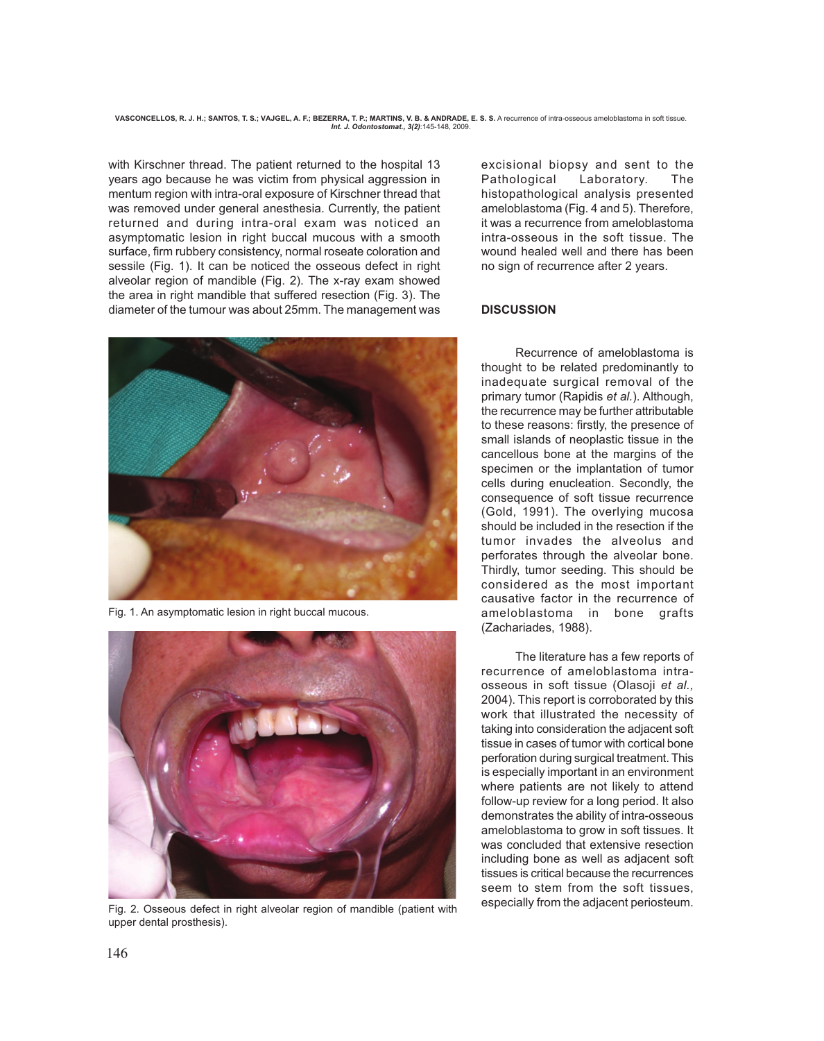VASCONCELLOS, R. J. H.; SANTOS, T. S.; VAJGEL, A. F.; BEZERRA, T. P.; MARTINS, V. B. & ANDRADE, E. S. S. A recurrence of intra-osseous ameloblastoma in soft tissue *Int. J. Odontostomat., 3(2)*:145-148, 2009.

with Kirschner thread. The patient returned to the hospital 13 years ago because he was victim from physical aggression in mentum region with intra-oral exposure of Kirschner thread that was removed under general anesthesia. Currently, the patient returned and during intra-oral exam was noticed an asymptomatic lesion in right buccal mucous with a smooth surface, firm rubbery consistency, normal roseate coloration and sessile (Fig. 1). It can be noticed the osseous defect in right alveolar region of mandible (Fig. 2). The x-ray exam showed the area in right mandible that suffered resection (Fig. 3). The diameter of the tumour was about 25mm. The management was



Fig. 1. An asymptomatic lesion in right buccal mucous.



Fig. 2. Osseous defect in right alveolar region of mandible (patient with upper dental prosthesis).

excisional biopsy and sent to the Pathological Laboratory. The histopathological analysis presented ameloblastoma (Fig. 4 and 5). Therefore, it was a recurrence from ameloblastoma intra-osseous in the soft tissue. The wound healed well and there has been no sign of recurrence after 2 years.

### **DISCUSSION**

Recurrence of ameloblastoma is thought to be related predominantly to inadequate surgical removal of the primary tumor (Rapidis *et al.*). Although, the recurrence may be further attributable to these reasons: firstly, the presence of small islands of neoplastic tissue in the cancellous bone at the margins of the specimen or the implantation of tumor cells during enucleation. Secondly, the consequence of soft tissue recurrence (Gold, 1991). The overlying mucosa should be included in the resection if the tumor invades the alveolus and perforates through the alveolar bone. Thirdly, tumor seeding. This should be considered as the most important causative factor in the recurrence of ameloblastoma in bone grafts (Zachariades, 1988).

The literature has a few reports of recurrence of ameloblastoma intraosseous in soft tissue (Olasoji *et al.,* 2004). This report is corroborated by this work that illustrated the necessity of taking into consideration the adjacent soft tissue in cases of tumor with cortical bone perforation during surgical treatment. This is especially important in an environment where patients are not likely to attend follow-up review for a long period. It also demonstrates the ability of intra-osseous ameloblastoma to grow in soft tissues. It was concluded that extensive resection including bone as well as adjacent soft tissues is critical because the recurrences seem to stem from the soft tissues especially from the adjacent periosteum.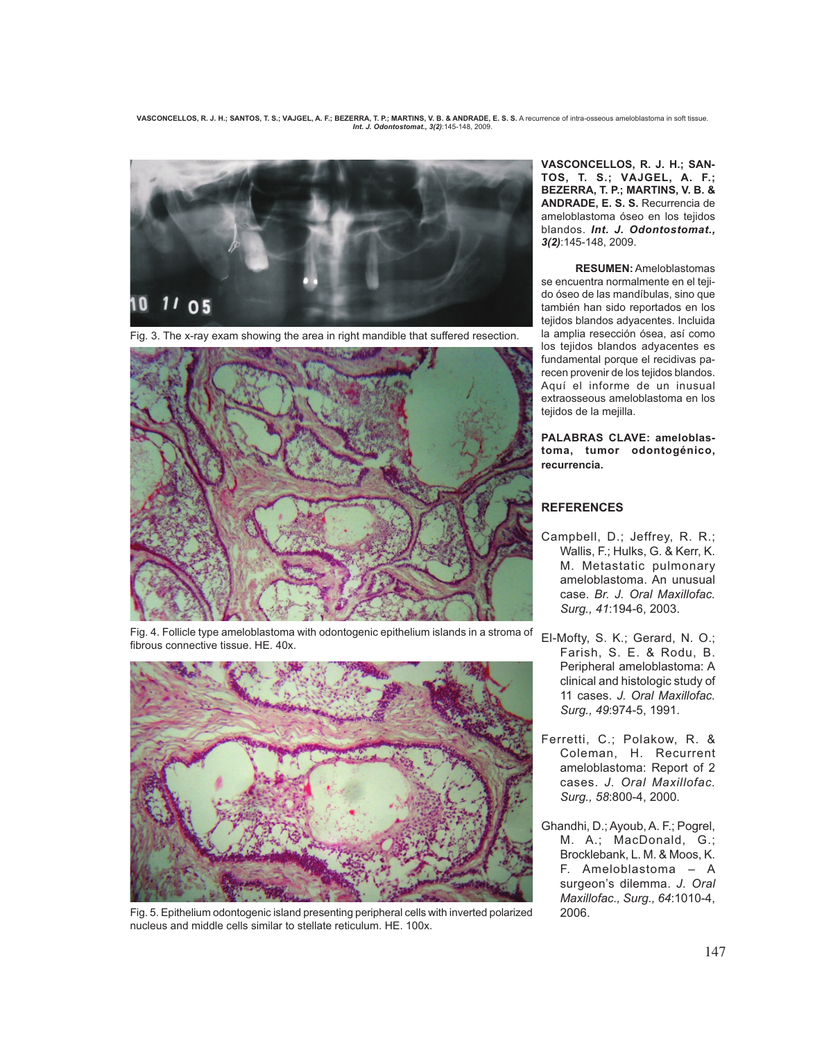VASCONCELLOS, R. J. H.; SANTOS, T. S.; VAJGEL, A. F.; BEZERRA, T. P.; MARTINS, V. B. & ANDRADE, E. S. S. A recurrence of intra-osseous ameloblastoma in soft tissue. *Int. J. Odontostomat., 3(2)*:145-148, 2009.



Fig. 3. The x-ray exam showing the area in right mandible that suffered resection.



Fig. 4. Follicle type ameloblastoma with odontogenic epithelium islands in a stroma of fibrous connective tissue. HE. 40x.



Fig. 5. Epithelium odontogenic island presenting peripheral cells with inverted polarized 2006. nucleus and middle cells similar to stellate reticulum. HE. 100x.

**VASCONCELLOS, R. J. H.; SAN-TOS, T. S.; VAJGEL, A. F.; BEZERRA, T. P.; MARTINS, V. B. & ANDRADE, E. S. S.** Recurrencia de ameloblastoma óseo en los tejidos blandos. *Int. J. Odontostomat., 3(2)*:145-148, 2009.

**RESUMEN:** Ameloblastomas se encuentra normalmente en el tejido óseo de las mandíbulas, sino que también han sido reportados en los tejidos blandos adyacentes. Incluida la amplia resección ósea, así como los tejidos blandos adyacentes es fundamental porque el recidivas parecen provenir de los tejidos blandos. Aquí el informe de un inusual extraosseous ameloblastoma en los tejidos de la mejilla.

**PALABRAS CLAVE: ameloblastoma, tumor odontogénico, recurrencia.**

## **REFERENCES**

- Campbell, D.; Jeffrey, R. R.; Wallis, F.; Hulks, G. & Kerr, K. M. Metastatic pulmonary ameloblastoma. An unusual case. *Br. J. Oral Maxillofac. Surg., 41*:194-6, 2003.
- El-Mofty, S. K.; Gerard, N. O.; Farish, S. E. & Rodu, B. Peripheral ameloblastoma: A clinical and histologic study of 11 cases. *J. Oral Maxillofac. Surg., 49*:974-5, 1991.
- Ferretti, C.; Polakow, R. & Coleman, H. Recurrent ameloblastoma: Report of 2 cases. *J. Oral Maxillofac. Surg., 58*:800-4, 2000.
- Ghandhi, D.; Ayoub, A. F.; Pogrel, M. A.; MacDonald, G.; Brocklebank, L. M. & Moos, K. F. Ameloblastoma – A surgeon's dilemma. *J. Oral Maxillofac., Surg., 64*:1010-4,